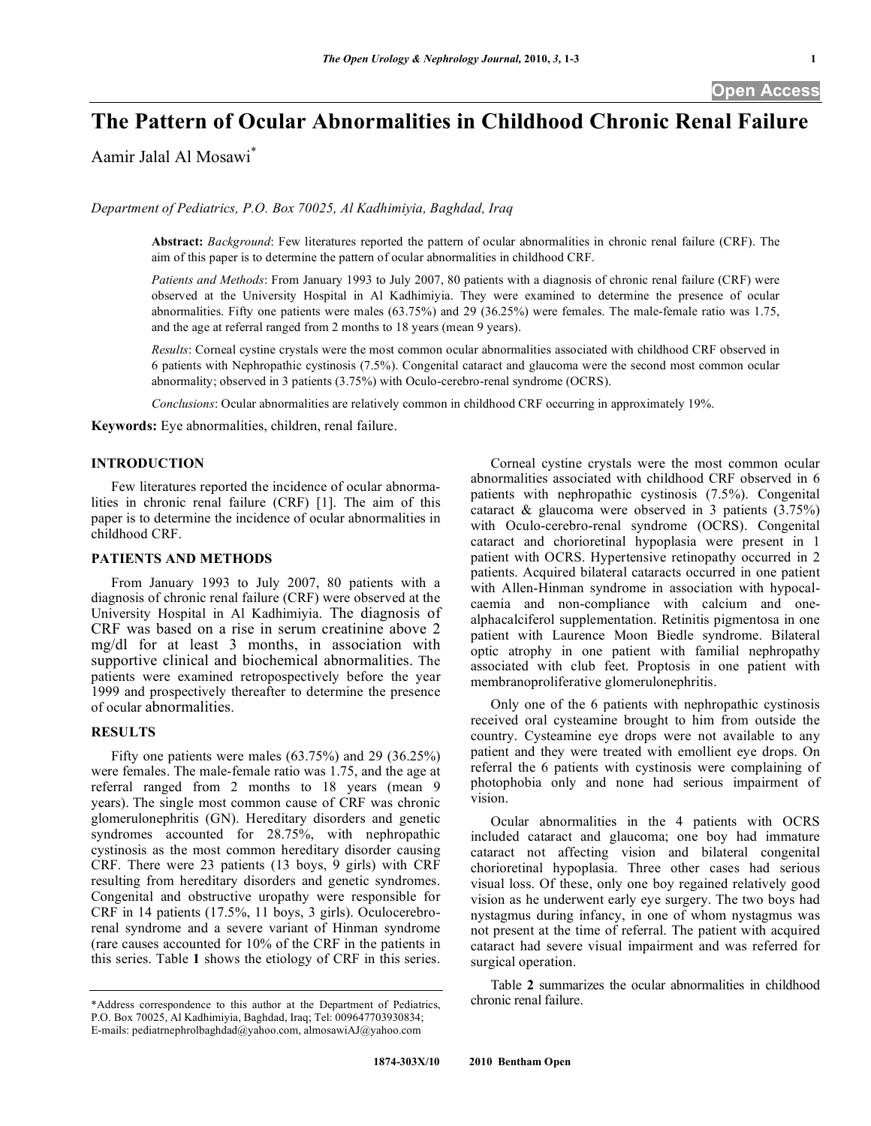# **The Pattern of Ocular Abnormalities in Childhood Chronic Renal Failure**

Aamir Jalal Al Mosawi\*

*Department of Pediatrics, P.O. Box 70025, Al Kadhimiyia, Baghdad, Iraq* 

**Abstract:** *Background*: Few literatures reported the pattern of ocular abnormalities in chronic renal failure (CRF). The aim of this paper is to determine the pattern of ocular abnormalities in childhood CRF.

*Patients and Methods*: From January 1993 to July 2007, 80 patients with a diagnosis of chronic renal failure (CRF) were observed at the University Hospital in Al Kadhimiyia. They were examined to determine the presence of ocular abnormalities. Fifty one patients were males (63.75%) and 29 (36.25%) were females. The male-female ratio was 1.75, and the age at referral ranged from 2 months to 18 years (mean 9 years).

*Results*: Corneal cystine crystals were the most common ocular abnormalities associated with childhood CRF observed in 6 patients with Nephropathic cystinosis (7.5%). Congenital cataract and glaucoma were the second most common ocular abnormality; observed in 3 patients (3.75%) with Oculo-cerebro-renal syndrome (OCRS).

*Conclusions*: Ocular abnormalities are relatively common in childhood CRF occurring in approximately 19%.

**Keywords:** Eye abnormalities, children, renal failure.

### **INTRODUCTION**

 Few literatures reported the incidence of ocular abnormalities in chronic renal failure (CRF) [1]. The aim of this paper is to determine the incidence of ocular abnormalities in childhood CRF.

## **PATIENTS AND METHODS**

 From January 1993 to July 2007, 80 patients with a diagnosis of chronic renal failure (CRF) were observed at the University Hospital in Al Kadhimiyia. The diagnosis of CRF was based on a rise in serum creatinine above 2 mg/dl for at least 3 months, in association with supportive clinical and biochemical abnormalities. The patients were examined retropospectively before the year 1999 and prospectively thereafter to determine the presence of ocular abnormalities.

#### **RESULTS**

 Fifty one patients were males (63.75%) and 29 (36.25%) were females. The male-female ratio was 1.75, and the age at referral ranged from 2 months to 18 years (mean 9 years). The single most common cause of CRF was chronic glomerulonephritis (GN). Hereditary disorders and genetic syndromes accounted for 28.75%, with nephropathic cystinosis as the most common hereditary disorder causing CRF. There were 23 patients (13 boys, 9 girls) with CRF resulting from hereditary disorders and genetic syndromes. Congenital and obstructive uropathy were responsible for CRF in 14 patients (17.5%, 11 boys, 3 girls). Oculocerebrorenal syndrome and a severe variant of Hinman syndrome (rare causes accounted for 10% of the CRF in the patients in this series. Table **1** shows the etiology of CRF in this series.

\*Address correspondence to this author at the Department of Pediatrics, P.O. Box 70025, Al Kadhimiyia, Baghdad, Iraq; Tel: 009647703930834; E-mails: pediatrnephrolbaghdad@yahoo.com, almosawiAJ@yahoo.com

 Corneal cystine crystals were the most common ocular abnormalities associated with childhood CRF observed in 6 patients with nephropathic cystinosis (7.5%). Congenital cataract & glaucoma were observed in 3 patients (3.75%) with Oculo-cerebro-renal syndrome (OCRS). Congenital cataract and chorioretinal hypoplasia were present in 1 patient with OCRS. Hypertensive retinopathy occurred in 2 patients. Acquired bilateral cataracts occurred in one patient with Allen-Hinman syndrome in association with hypocalcaemia and non-compliance with calcium and onealphacalciferol supplementation. Retinitis pigmentosa in one patient with Laurence Moon Biedle syndrome. Bilateral optic atrophy in one patient with familial nephropathy associated with club feet. Proptosis in one patient with membranoproliferative glomerulonephritis.

 Only one of the 6 patients with nephropathic cystinosis received oral cysteamine brought to him from outside the country. Cysteamine eye drops were not available to any patient and they were treated with emollient eye drops. On referral the 6 patients with cystinosis were complaining of photophobia only and none had serious impairment of vision.

 Ocular abnormalities in the 4 patients with OCRS included cataract and glaucoma; one boy had immature cataract not affecting vision and bilateral congenital chorioretinal hypoplasia. Three other cases had serious visual loss. Of these, only one boy regained relatively good vision as he underwent early eye surgery. The two boys had nystagmus during infancy, in one of whom nystagmus was not present at the time of referral. The patient with acquired cataract had severe visual impairment and was referred for surgical operation.

 Table **2** summarizes the ocular abnormalities in childhood chronic renal failure.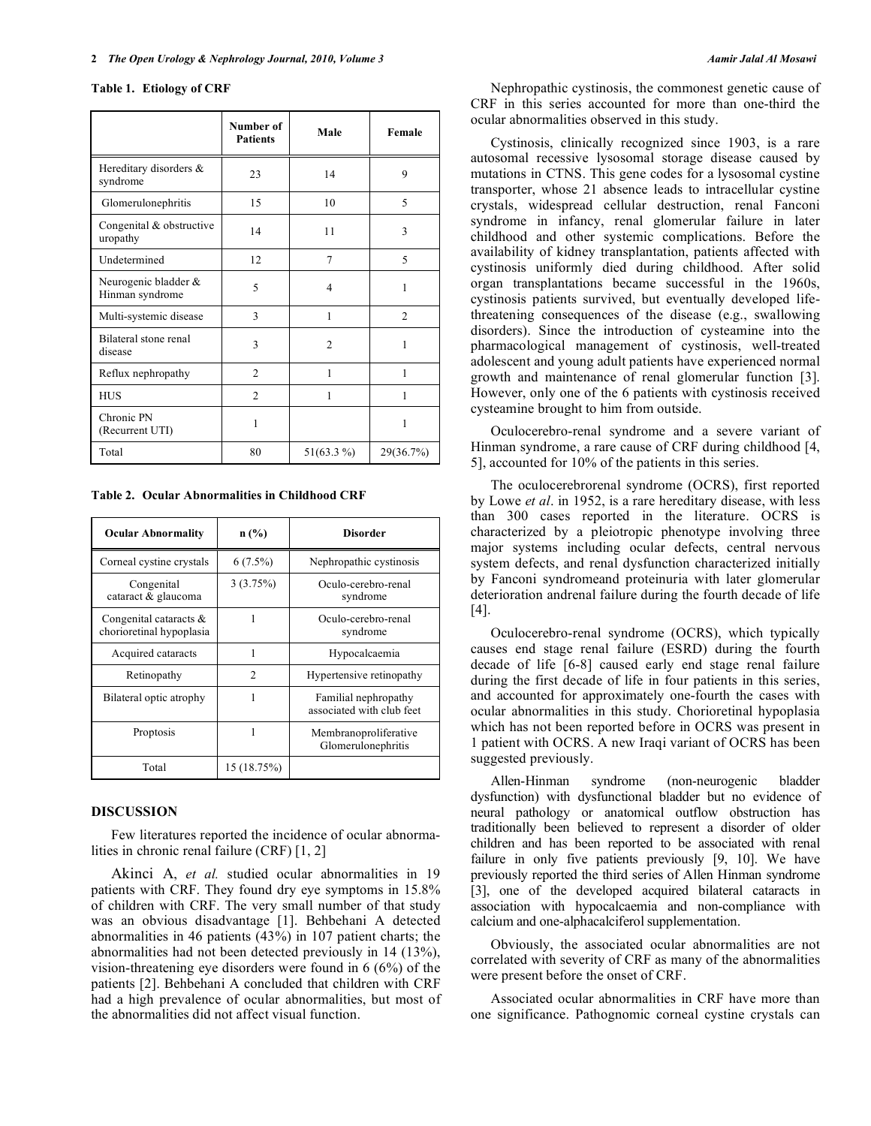#### **Table 1. Etiology of CRF**

|                                         | Number of<br><b>Patients</b> | Male           | Female         |
|-----------------------------------------|------------------------------|----------------|----------------|
| Hereditary disorders &<br>syndrome      | 23                           | 14             | 9              |
| Glomerulonephritis                      | 15                           | 10             | 5              |
| Congenital & obstructive<br>uropathy    | 14                           | 11             | 3              |
| Undetermined                            | 12                           | 7              | 5              |
| Neurogenic bladder &<br>Hinman syndrome | 5                            | 4              | 1              |
| Multi-systemic disease                  | 3                            | 1              | $\mathfrak{D}$ |
| Bilateral stone renal<br>disease        | 3                            | $\mathfrak{D}$ | 1              |
| Reflux nephropathy                      | $\overline{c}$               | 1              | 1              |
| <b>HUS</b>                              | $\overline{2}$               | 1              | 1              |
| Chronic PN<br>(Recurrent UTI)           | 1                            |                | 1              |
| Total                                   | 80                           | $51(63.3\%)$   | 29(36.7%)      |

**Table 2. Ocular Abnormalities in Childhood CRF** 

| <b>Ocular Abnormality</b>                             | $n$ (%)        | <b>Disorder</b>                                   |  |
|-------------------------------------------------------|----------------|---------------------------------------------------|--|
| Corneal cystine crystals                              | $6(7.5\%)$     | Nephropathic cystinosis                           |  |
| Congenital<br>cataract & glaucoma                     | 3(3.75%)       | Oculo-cerebro-renal<br>syndrome                   |  |
| Congenital cataracts $\&$<br>chorioretinal hypoplasia |                | Oculo-cerebro-renal<br>syndrome                   |  |
| Acquired cataracts                                    |                | Hypocalcaemia                                     |  |
| Retinopathy                                           | $\mathfrak{D}$ | Hypertensive retinopathy                          |  |
| Bilateral optic atrophy                               | 1              | Familial nephropathy<br>associated with club feet |  |
| Proptosis                                             | 1              | Membranoproliferative<br>Glomerulonephritis       |  |
| Total                                                 | 15 (18.75%)    |                                                   |  |

#### **DISCUSSION**

 Few literatures reported the incidence of ocular abnormalities in chronic renal failure (CRF) [1, 2]

Akinci A, *et al.* studied ocular abnormalities in 19 patients with CRF. They found dry eye symptoms in 15.8% of children with CRF. The very small number of that study was an obvious disadvantage [1]. Behbehani A detected abnormalities in 46 patients (43%) in 107 patient charts; the abnormalities had not been detected previously in 14 (13%), vision-threatening eye disorders were found in 6 (6%) of the patients [2]. Behbehani A concluded that children with CRF had a high prevalence of ocular abnormalities, but most of the abnormalities did not affect visual function.

 Nephropathic cystinosis, the commonest genetic cause of CRF in this series accounted for more than one-third the ocular abnormalities observed in this study.

 Cystinosis, clinically recognized since 1903, is a rare autosomal recessive lysosomal storage disease caused by mutations in CTNS. This gene codes for a lysosomal cystine transporter, whose 21 absence leads to intracellular cystine crystals, widespread cellular destruction, renal Fanconi syndrome in infancy, renal glomerular failure in later childhood and other systemic complications. Before the availability of kidney transplantation, patients affected with cystinosis uniformly died during childhood. After solid organ transplantations became successful in the 1960s, cystinosis patients survived, but eventually developed lifethreatening consequences of the disease (e.g., swallowing disorders). Since the introduction of cysteamine into the pharmacological management of cystinosis, well-treated adolescent and young adult patients have experienced normal growth and maintenance of renal glomerular function [3]. However, only one of the 6 patients with cystinosis received cysteamine brought to him from outside.

 Oculocerebro-renal syndrome and a severe variant of Hinman syndrome, a rare cause of CRF during childhood [4, 5], accounted for 10% of the patients in this series.

 The oculocerebrorenal syndrome (OCRS), first reported by Lowe *et al*. in 1952, is a rare hereditary disease, with less than 300 cases reported in the literature. OCRS is characterized by a pleiotropic phenotype involving three major systems including ocular defects, central nervous system defects, and renal dysfunction characterized initially by Fanconi syndromeand proteinuria with later glomerular deterioration andrenal failure during the fourth decade of life [4].

 Oculocerebro-renal syndrome (OCRS), which typically causes end stage renal failure (ESRD) during the fourth decade of life [6-8] caused early end stage renal failure during the first decade of life in four patients in this series, and accounted for approximately one-fourth the cases with ocular abnormalities in this study. Chorioretinal hypoplasia which has not been reported before in OCRS was present in 1 patient with OCRS. A new Iraqi variant of OCRS has been suggested previously.

 Allen-Hinman syndrome (non-neurogenic bladder dysfunction) with dysfunctional bladder but no evidence of neural pathology or anatomical outflow obstruction has traditionally been believed to represent a disorder of older children and has been reported to be associated with renal failure in only five patients previously [9, 10]. We have previously reported the third series of Allen Hinman syndrome [3], one of the developed acquired bilateral cataracts in association with hypocalcaemia and non-compliance with calcium and one-alphacalciferol supplementation.

 Obviously, the associated ocular abnormalities are not correlated with severity of CRF as many of the abnormalities were present before the onset of CRF.

 Associated ocular abnormalities in CRF have more than one significance. Pathognomic corneal cystine crystals can